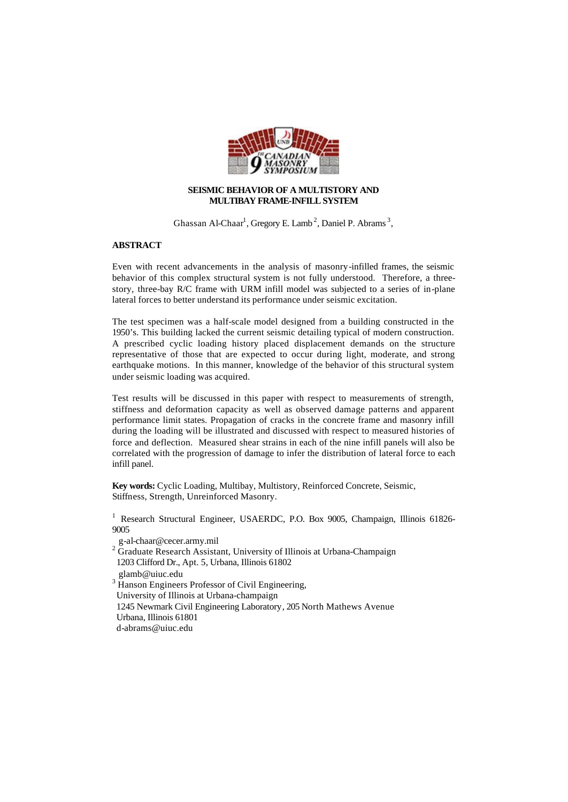

## **SEISMIC BEHAVIOR OF A MULTISTORY AND MULTIBAY FRAME-INFILL SYSTEM**

Ghassan Al-Chaar<sup>1</sup>, Gregory E. Lamb<sup>2</sup>, Daniel P. Abrams<sup>3</sup>,

## **ABSTRACT**

Even with recent advancements in the analysis of masonry-infilled frames, the seismic behavior of this complex structural system is not fully understood. Therefore, a threestory, three-bay R/C frame with URM infill model was subjected to a series of in-plane lateral forces to better understand its performance under seismic excitation.

The test specimen was a half-scale model designed from a building constructed in the 1950's. This building lacked the current seismic detailing typical of modern construction. A prescribed cyclic loading history placed displacement demands on the structure representative of those that are expected to occur during light, moderate, and strong earthquake motions. In this manner, knowledge of the behavior of this structural system under seismic loading was acquired.

Test results will be discussed in this paper with respect to measurements of strength, stiffness and deformation capacity as well as observed damage patterns and apparent performance limit states. Propagation of cracks in the concrete frame and masonry infill during the loading will be illustrated and discussed with respect to measured histories of force and deflection. Measured shear strains in each of the nine infill panels will also be correlated with the progression of damage to infer the distribution of lateral force to each infill panel.

**Key words:** Cyclic Loading, Multibay, Multistory, Reinforced Concrete, Seismic, Stiffness, Strength, Unreinforced Masonry.

<sup>1</sup> Research Structural Engineer, USAERDC, P.O. Box 9005, Champaign, Illinois 61826-9005

- g-al-chaar@cecer.army.mil
- $2\overline{C}$  Graduate Research Assistant, University of Illinois at Urbana-Champaign 1203 Clifford Dr., Apt. 5, Urbana, Illinois 61802
- glamb@uiuc.edu
- <sup>3</sup> Hanson Engineers Professor of Civil Engineering,
- University of Illinois at Urbana-champaign
- 1245 Newmark Civil Engineering Laboratory, 205 North Mathews Avenue Urbana, Illinois 61801
- d-abrams@uiuc.edu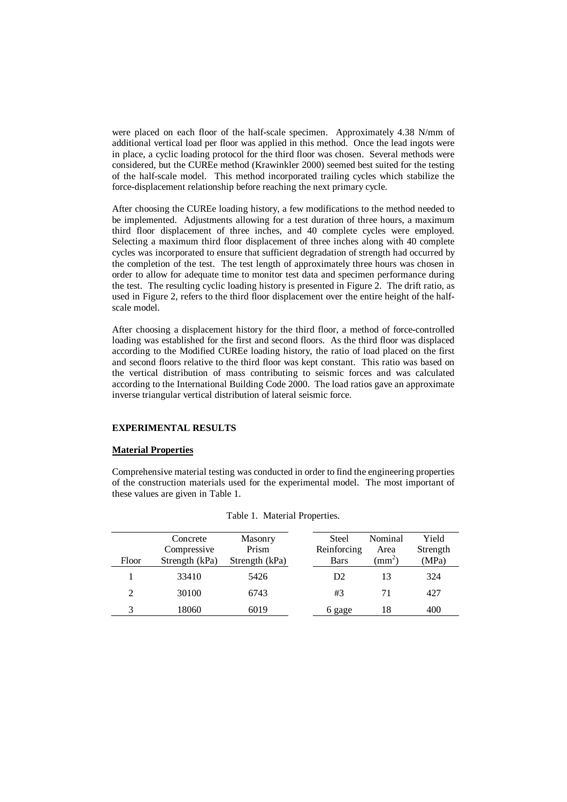were placed on each floor of the half-scale specimen. Approximately 4.38 N/mm of additional vertical load per floor was applied in this method. Once the lead ingots were in place, a cyclic loading protocol for the third floor was chosen. Several methods were considered, but the CUREe method (Krawinkler 2000) seemed best suited for the testing of the half-scale model. This method incorporated trailing cycles which stabilize the force-displacement relationship before reaching the next primary cycle.

After choosing the CUREe loading history, a few modifications to the method needed to be implemented. Adjustments allowing for a test duration of three hours, a maximum third floor displacement of three inches, and 40 complete cycles were employed. Selecting a maximum third floor displacement of three inches along with 40 complete cycles was incorporated to ensure that sufficient degradation of strength had occurred by the completion of the test. The test length of approximately three hours was chosen in order to allow for adequate time to monitor test data and specimen performance during the test. The resulting cyclic loading history is presented in Figure 2. The drift ratio, as used in Figure 2, refers to the third floor displacement over the entire height of the halfscale model.

After choosing a displacement history for the third floor, a method of force-controlled loading was established for the first and second floors. As the third floor was displaced according to the Modified CUREe loading history, the ratio of load placed on the first and second floors relative to the third floor was kept constant. This ratio was based on the vertical distribution of mass contributing to seismic forces and was calculated according to the International Building Code 2000. The load ratios gave an approximate inverse triangular vertical distribution of lateral seismic force.

#### **EXPERIMENTAL RESULTS**

# **Material Properties**

Comprehensive material testing was conducted in order to find the engineering properties of the construction materials used for the experimental model. The most important of these values are given in Table 1.

| Floor | Concrete<br>Compressive<br>Strength (kPa) | Masonry<br>Prism<br>Strength (kPa) | <b>Steel</b><br>Reinforcing<br><b>Bars</b> | Nominal<br>Area<br>$\rm (mm^2)$ | Yield<br>Strength<br>(MPa) |
|-------|-------------------------------------------|------------------------------------|--------------------------------------------|---------------------------------|----------------------------|
|       | 33410                                     | 5426                               | D <sub>2</sub>                             | 13                              | 324                        |
| 2     | 30100                                     | 6743                               | #3                                         | 71                              | 427                        |
| 3     | 18060                                     | 6019                               | 6 gage                                     | 18                              | 400                        |

# Table 1. Material Properties.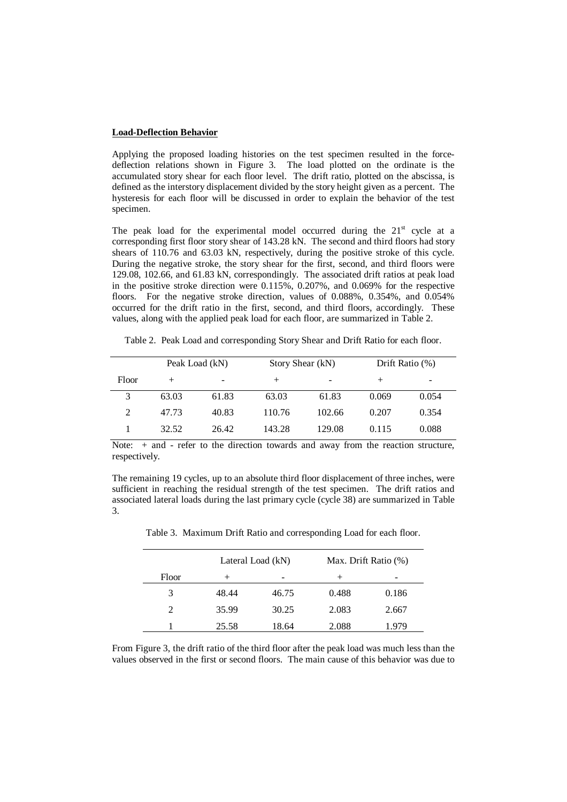#### **Load-Deflection Behavior**

Applying the proposed loading histories on the test specimen resulted in the forcedeflection relations shown in Figure 3. The load plotted on the ordinate is the accumulated story shear for each floor level. The drift ratio, plotted on the abscissa, is defined as the interstory displacement divided by the story height given as a percent. The hysteresis for each floor will be discussed in order to explain the behavior of the test specimen.

The peak load for the experimental model occurred during the  $21<sup>st</sup>$  cycle at a corresponding first floor story shear of 143.28 kN. The second and third floors had story shears of 110.76 and 63.03 kN, respectively, during the positive stroke of this cycle. During the negative stroke, the story shear for the first, second, and third floors were 129.08, 102.66, and 61.83 kN, correspondingly. The associated drift ratios at peak load in the positive stroke direction were 0.115%, 0.207%, and 0.069% for the respective floors. For the negative stroke direction, values of 0.088%, 0.354%, and 0.054% occurred for the drift ratio in the first, second, and third floors, accordingly. These values, along with the applied peak load for each floor, are summarized in Table 2.

Table 2. Peak Load and corresponding Story Shear and Drift Ratio for each floor.

|       | Peak Load (kN) |       |        | Story Shear (kN) |         | Drift Ratio $(\%)$ |
|-------|----------------|-------|--------|------------------|---------|--------------------|
| Floor | $+$            | -     | $^+$   | -                | $\,+\,$ | -                  |
| 3     | 63.03          | 61.83 | 63.03  | 61.83            | 0.069   | 0.054              |
|       | 47.73          | 40.83 | 110.76 | 102.66           | 0.207   | 0.354              |
|       | 32.52          | 26.42 | 143.28 | 129.08           | 0.115   | 0.088              |

Note: + and - refer to the direction towards and away from the reaction structure, respectively.

The remaining 19 cycles, up to an absolute third floor displacement of three inches, were sufficient in reaching the residual strength of the test specimen. The drift ratios and associated lateral loads during the last primary cycle (cycle 38) are summarized in Table 3.

|       | Lateral Load (kN) |       | Max. Drift Ratio (%) |       |  |
|-------|-------------------|-------|----------------------|-------|--|
| Floor |                   |       | $^{+}$               |       |  |
| 3     | 48.44             | 46.75 | 0.488                | 0.186 |  |
| 2     | 35.99             | 30.25 | 2.083                | 2.667 |  |
|       | 25.58             | 18.64 | 2.088                | .979  |  |

Table 3. Maximum Drift Ratio and corresponding Load for each floor.

From Figure 3, the drift ratio of the third floor after the peak load was much less than the values observed in the first or second floors. The main cause of this behavior was due to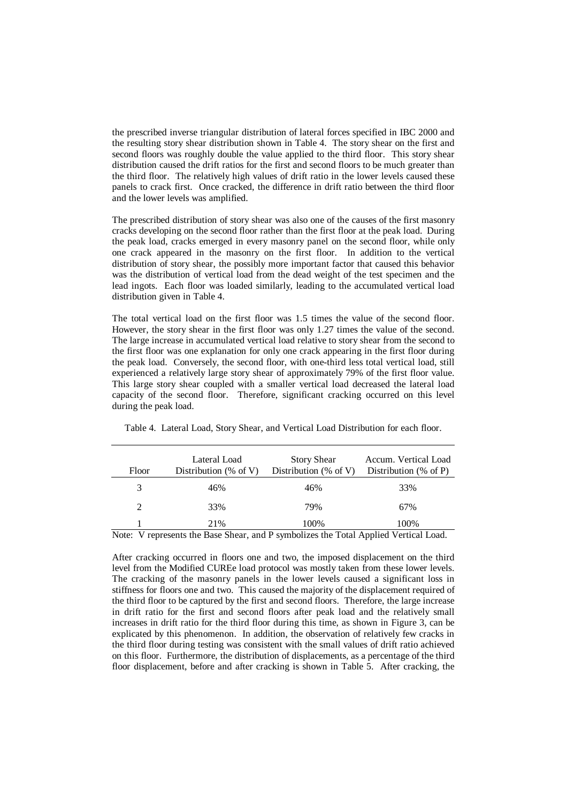the prescribed inverse triangular distribution of lateral forces specified in IBC 2000 and the resulting story shear distribution shown in Table 4. The story shear on the first and second floors was roughly double the value applied to the third floor. This story shear distribution caused the drift ratios for the first and second floors to be much greater than the third floor. The relatively high values of drift ratio in the lower levels caused these panels to crack first. Once cracked, the difference in drift ratio between the third floor and the lower levels was amplified.

The prescribed distribution of story shear was also one of the causes of the first masonry cracks developing on the second floor rather than the first floor at the peak load. During the peak load, cracks emerged in every masonry panel on the second floor, while only one crack appeared in the masonry on the first floor. In addition to the vertical distribution of story shear, the possibly more important factor that caused this behavior was the distribution of vertical load from the dead weight of the test specimen and the lead ingots. Each floor was loaded similarly, leading to the accumulated vertical load distribution given in Table 4.

The total vertical load on the first floor was 1.5 times the value of the second floor. However, the story shear in the first floor was only 1.27 times the value of the second. The large increase in accumulated vertical load relative to story shear from the second to the first floor was one explanation for only one crack appearing in the first floor during the peak load. Conversely, the second floor, with one-third less total vertical load, still experienced a relatively large story shear of approximately 79% of the first floor value. This large story shear coupled with a smaller vertical load decreased the lateral load capacity of the second floor. Therefore, significant cracking occurred on this level during the peak load.

| Floor        | Lateral Load<br>Distribution (% of V) | <b>Story Shear</b><br>Distribution (% of V) | Accum. Vertical Load<br>Distribution $(\%$ of P) |
|--------------|---------------------------------------|---------------------------------------------|--------------------------------------------------|
| 3            | 46%                                   | 46%                                         | 33%                                              |
| 2            | 33%                                   | 79%                                         | 67%                                              |
| $\mathbf{v}$ | 21%<br>$\sim$ 1 $\sim$ $\sim$ $\sim$  | 100%<br>$\sim$                              | 100%<br>$\cdots$ $\cdots$ $\cdots$               |

Table 4. Lateral Load, Story Shear, and Vertical Load Distribution for each floor.

Note: V represents the Base Shear, and P symbolizes the Total Applied Vertical Load.

After cracking occurred in floors one and two, the imposed displacement on the third level from the Modified CUREe load protocol was mostly taken from these lower levels. The cracking of the masonry panels in the lower levels caused a significant loss in stiffness for floors one and two. This caused the majority of the displacement required of the third floor to be captured by the first and second floors. Therefore, the large increase in drift ratio for the first and second floors after peak load and the relatively small increases in drift ratio for the third floor during this time, as shown in Figure 3, can be explicated by this phenomenon. In addition, the observation of relatively few cracks in the third floor during testing was consistent with the small values of drift ratio achieved on this floor. Furthermore, the distribution of displacements, as a percentage of the third floor displacement, before and after cracking is shown in Table 5. After cracking, the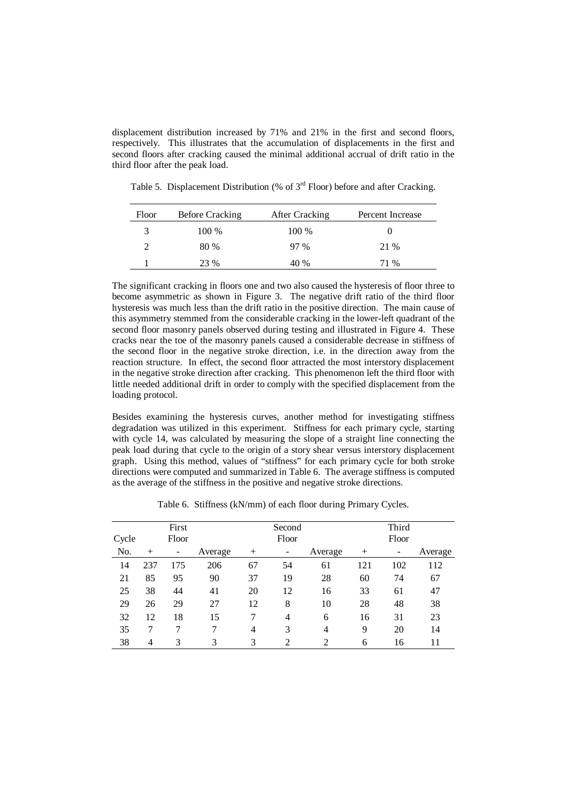displacement distribution increased by 71% and 21% in the first and second floors, respectively. This illustrates that the accumulation of displacements in the first and second floors after cracking caused the minimal additional accrual of drift ratio in the third floor after the peak load.

| Floor | Before Cracking | After Cracking | Percent Increase |
|-------|-----------------|----------------|------------------|
| 3     | $100\%$         | $100\%$        |                  |
|       | 80 %            | $97\%$         | 21 %             |
|       | 23 %            | 40 %           | 71 %             |

Table 5. Displacement Distribution (% of  $3<sup>rd</sup>$  Floor) before and after Cracking.

The significant cracking in floors one and two also caused the hysteresis of floor three to become asymmetric as shown in Figure 3. The negative drift ratio of the third floor hysteresis was much less than the drift ratio in the positive direction. The main cause of this asymmetry stemmed from the considerable cracking in the lower-left quadrant of the second floor masonry panels observed during testing and illustrated in Figure 4. These cracks near the toe of the masonry panels caused a considerable decrease in stiffness of the second floor in the negative stroke direction, i.e. in the direction away from the reaction structure. In effect, the second floor attracted the most interstory displacement in the negative stroke direction after cracking. This phenomenon left the third floor with little needed additional drift in order to comply with the specified displacement from the loading protocol.

Besides examining the hysteresis curves, another method for investigating stiffness degradation was utilized in this experiment. Stiffness for each primary cycle, starting with cycle 14, was calculated by measuring the slope of a straight line connecting the peak load during that cycle to the origin of a story shear versus interstory displacement graph. Using this method, values of "stiffness" for each primary cycle for both stroke directions were computed and summarized in Table 6. The average stiffness is computed as the average of the stiffness in the positive and negative stroke directions.

|       |        | First |         |        | Second |                |      | Third |         |
|-------|--------|-------|---------|--------|--------|----------------|------|-------|---------|
| Cycle |        | Floor |         |        | Floor  |                |      | Floor |         |
| No.   | $^{+}$ | -     | Average | $^{+}$ | -      | Average        | $^+$ | -     | Average |
| 14    | 237    | 175   | 206     | 67     | 54     | 61             | 121  | 102   | 112     |
| 21    | 85     | 95    | 90      | 37     | 19     | 28             | 60   | 74    | 67      |
| 25    | 38     | 44    | 41      | 20     | 12     | 16             | 33   | 61    | 47      |
| 29    | 26     | 29    | 27      | 12     | 8      | 10             | 28   | 48    | 38      |
| 32    | 12     | 18    | 15      |        | 4      | 6              | 16   | 31    | 23      |
| 35    | 7      | 7     | 7       | 4      | 3      | 4              | 9    | 20    | 14      |
| 38    | 4      | 3     | 3       | 3      | 2      | $\overline{2}$ | 6    | 16    | 11      |

Table 6. Stiffness (kN/mm) of each floor during Primary Cycles.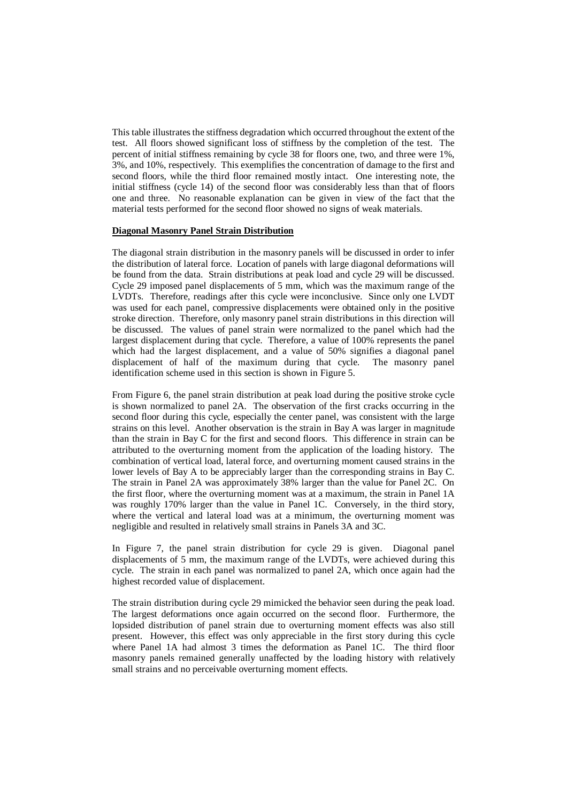This table illustrates the stiffness degradation which occurred throughout the extent of the test. All floors showed significant loss of stiffness by the completion of the test. The percent of initial stiffness remaining by cycle 38 for floors one, two, and three were 1%, 3%, and 10%, respectively. This exemplifies the concentration of damage to the first and second floors, while the third floor remained mostly intact. One interesting note, the initial stiffness (cycle 14) of the second floor was considerably less than that of floors one and three. No reasonable explanation can be given in view of the fact that the material tests performed for the second floor showed no signs of weak materials.

# **Diagonal Masonry Panel Strain Distribution**

The diagonal strain distribution in the masonry panels will be discussed in order to infer the distribution of lateral force. Location of panels with large diagonal deformations will be found from the data. Strain distributions at peak load and cycle 29 will be discussed. Cycle 29 imposed panel displacements of 5 mm, which was the maximum range of the LVDTs. Therefore, readings after this cycle were inconclusive. Since only one LVDT was used for each panel, compressive displacements were obtained only in the positive stroke direction. Therefore, only masonry panel strain distributions in this direction will be discussed. The values of panel strain were normalized to the panel which had the largest displacement during that cycle. Therefore, a value of 100% represents the panel which had the largest displacement, and a value of 50% signifies a diagonal panel displacement of half of the maximum during that cycle. The masonry panel identification scheme used in this section is shown in Figure 5.

From Figure 6, the panel strain distribution at peak load during the positive stroke cycle is shown normalized to panel 2A. The observation of the first cracks occurring in the second floor during this cycle, especially the center panel, was consistent with the large strains on this level. Another observation is the strain in Bay A was larger in magnitude than the strain in Bay C for the first and second floors. This difference in strain can be attributed to the overturning moment from the application of the loading history. The combination of vertical load, lateral force, and overturning moment caused strains in the lower levels of Bay A to be appreciably larger than the corresponding strains in Bay C. The strain in Panel 2A was approximately 38% larger than the value for Panel 2C. On the first floor, where the overturning moment was at a maximum, the strain in Panel 1A was roughly 170% larger than the value in Panel 1C. Conversely, in the third story, where the vertical and lateral load was at a minimum, the overturning moment was negligible and resulted in relatively small strains in Panels 3A and 3C.

In Figure 7, the panel strain distribution for cycle 29 is given. Diagonal panel displacements of 5 mm, the maximum range of the LVDTs, were achieved during this cycle. The strain in each panel was normalized to panel 2A, which once again had the highest recorded value of displacement.

The strain distribution during cycle 29 mimicked the behavior seen during the peak load. The largest deformations once again occurred on the second floor. Furthermore, the lopsided distribution of panel strain due to overturning moment effects was also still present. However, this effect was only appreciable in the first story during this cycle where Panel 1A had almost 3 times the deformation as Panel 1C. The third floor masonry panels remained generally unaffected by the loading history with relatively small strains and no perceivable overturning moment effects.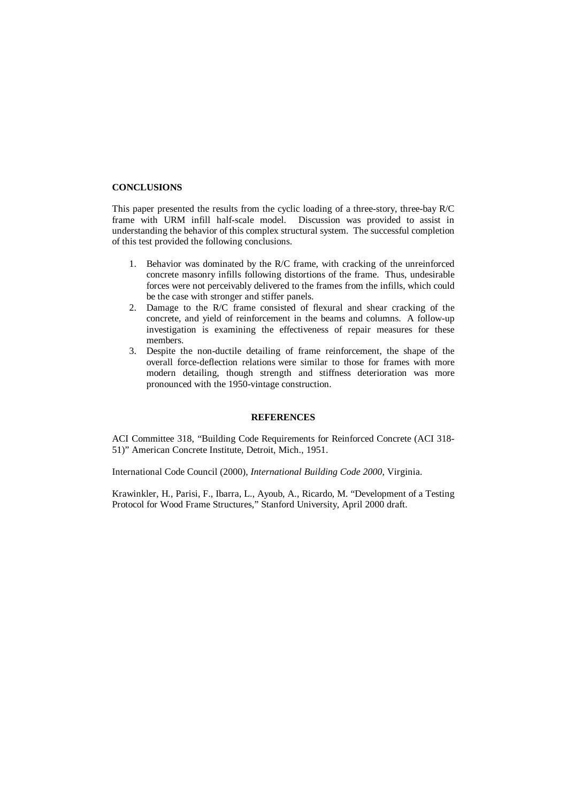## **CONCLUSIONS**

This paper presented the results from the cyclic loading of a three-story, three-bay R/C frame with URM infill half-scale model. Discussion was provided to assist in understanding the behavior of this complex structural system. The successful completion of this test provided the following conclusions.

- 1. Behavior was dominated by the R/C frame, with cracking of the unreinforced concrete masonry infills following distortions of the frame. Thus, undesirable forces were not perceivably delivered to the frames from the infills, which could be the case with stronger and stiffer panels.
- 2. Damage to the R/C frame consisted of flexural and shear cracking of the concrete, and yield of reinforcement in the beams and columns. A follow-up investigation is examining the effectiveness of repair measures for these members.
- 3. Despite the non-ductile detailing of frame reinforcement, the shape of the overall force-deflection relations were similar to those for frames with more modern detailing, though strength and stiffness deterioration was more pronounced with the 1950-vintage construction.

## **REFERENCES**

ACI Committee 318, "Building Code Requirements for Reinforced Concrete (ACI 318- 51)" American Concrete Institute, Detroit, Mich., 1951.

International Code Council (2000), *International Building Code 2000*, Virginia.

Krawinkler, H., Parisi, F., Ibarra, L., Ayoub, A., Ricardo, M. "Development of a Testing Protocol for Wood Frame Structures," Stanford University, April 2000 draft.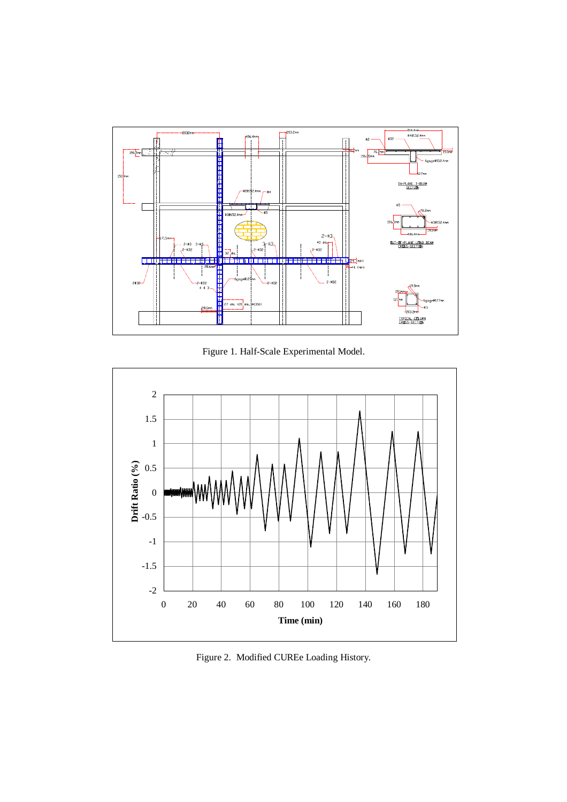

Figure 1. Half-Scale Experimental Model.



Figure 2. Modified CUREe Loading History.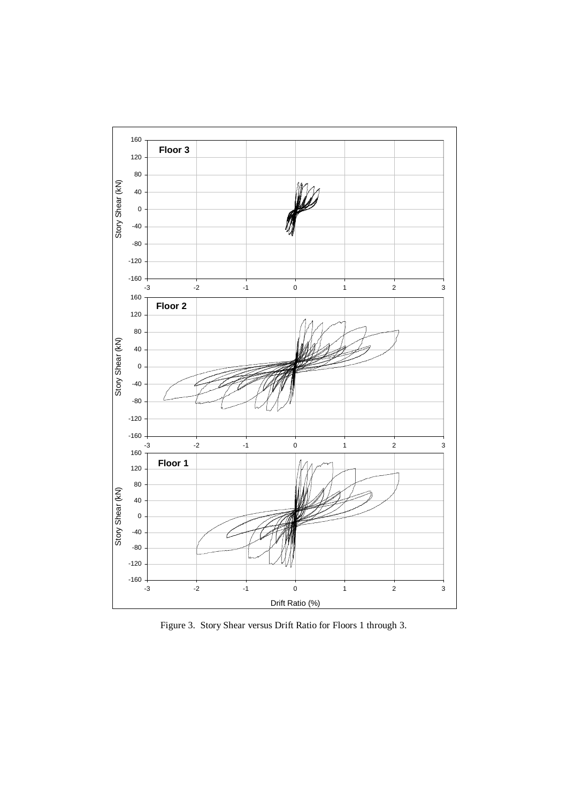

Figure 3. Story Shear versus Drift Ratio for Floors 1 through 3.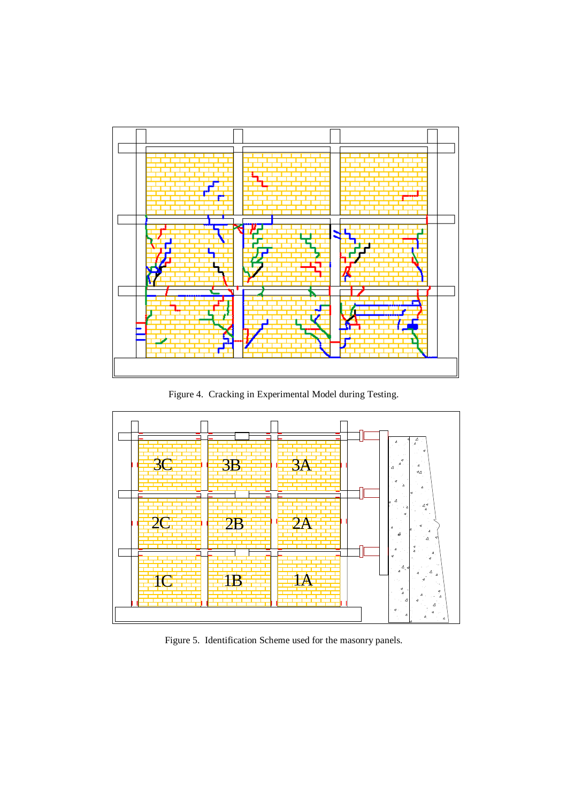

Figure 4. Cracking in Experimental Model during Testing.



Figure 5. Identification Scheme used for the masonry panels.